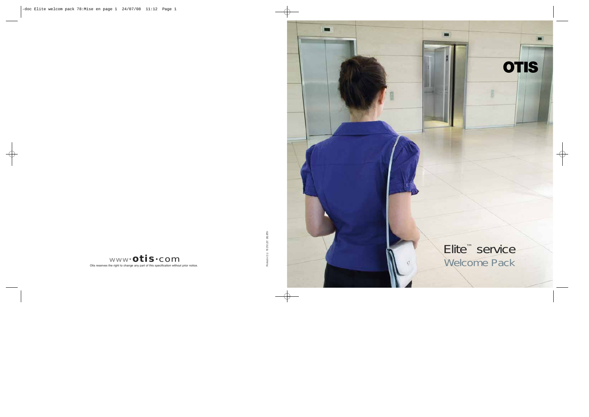**OTIS** 

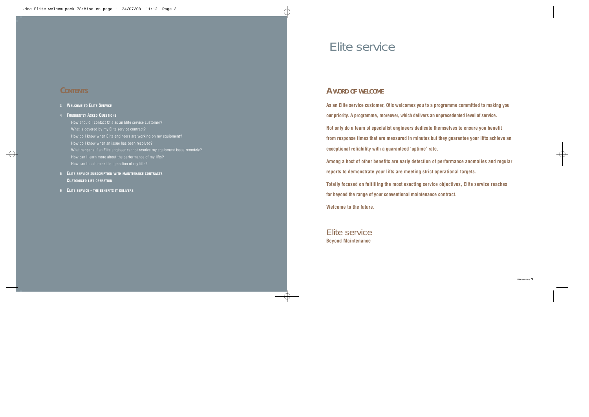# **CONTENTS**

## **3 WELCOME TO ELITE SERVICE**

## **<sup>4</sup> FREQUENTLY ASKED QUESTIONS**

- How should I contact Otis as an Elite service customer? What is covered by my Elite service contract? How do I know when Elite engineers are working on my equipment? How do I know when an issue has been resolved? What happens if an Elite engineer cannot resolve my equipment issue remotely? How can I learn more about the performance of my lifts? How can I customise the operation of my lifts?
- **5 ELITE SERVICE SUBSCRIPTION WITH MAINTENANCE CONTRACTS CUSTOMISED LIFT OPERATION**
- **6 ELITE SERVICE THE BENEFITS IT DELIVERS**

# Elite service

# **A WORD OF WELCOME**

**As an Elite service customer, Otis welcomes you to a programme committed to making you our priority. A programme, moreover, which delivers an unprecedented level of service.**

**Not only do a team of specialist engineers dedicate themselves to ensure you benefit from response times that are measured in minutes but they guarantee your lifts achieve an exceptional reliability with a guaranteed 'uptime' rate.**

**Among a host of other benefits are early detection of performance anomalies and regular reports to demonstrate your lifts are meeting strict operational targets.**

**Totally focused on fulfilling the most exacting service objectives, Elite service reaches far beyond the range of your conventional maintenance contract.**

**Welcome to the future.**

# Elite service **Beyond Maintenance**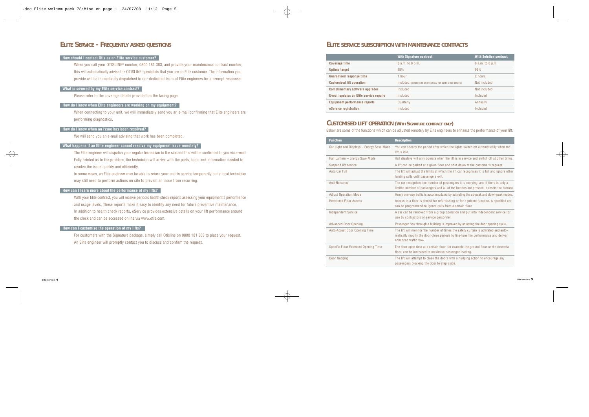## **ELITE SERVICE - FREQUENTLY ASKED QUESTIONS**

## **How should I contact Otis as an Elite service customer?**

When you call your OTISLINE® number, 0800 181 363, and provide your maintenance contract number, this will automatically advise the OTISLINE specialists that you are an Elite customer. The information you provide will be immediately dispatched to our dedicated team of Elite engineers for a prompt response.**hat**

## **What is covered by my Elite service contract?**

Please refer to the coverage details provided on the facing page.

## **How do I know when Elite engineers are working on my equipment?**

When connecting to your unit, we will immediately send you an e-mail confirming that Elite engineers are performing diagnostics.

## **How do I know when an issue has been resolved?**

We will send you an e-mail advising that work has been completed.

## **What happens if an Elite engineer cannot resolve my equipment issue remotely?**

The Elite engineer will dispatch your regular technician to the site and this will be confirmed to you via e-mail. Fully briefed as to the problem, the technician will arrive with the parts, tools and information needed to resolve the issue quickly and efficiently.

In some cases, an Elite engineer may be able to return your unit to service temporarily but a local technician may still need to perform actions on site to prevent an issue from recurring.

## **How can I learn more about the performance of my lifts?**

With your Elite contract, you will receive periodic health check reports assessing your equipment's performance and usage levels. These reports make it easy to identify any need for future preventive maintenance. In addition to health check reports, eService provides extensive details on your lift performance around the clock and can be accessed online via www.otis.com.

## **How can I customise the operation of my lifts?**

For customers with the Signature package, simply call Otisline on 0800 181 363 to place your request. An Elite engineer will promptly contact you to discuss and confirm the request.

## **ELITE SERVICE SUBSCRIPTION WITH MAINTENANCE CONTRACTS**

|                                         | <b>With Signature contract</b>                           | <b>With Solution contract</b> |
|-----------------------------------------|----------------------------------------------------------|-------------------------------|
| <b>Coverage time</b>                    | 8 a.m. to 8 p.m.                                         | 8 a.m. to 8 p.m.              |
| <b>Uptime target</b>                    | 98%                                                      | 93%                           |
| <b>Guaranteed response time</b>         | 1 hour                                                   | 2 hours                       |
| <b>Customised lift operation</b>        | Included (please see chart below for additional details) | Not included                  |
| <b>Complimentary software upgrades</b>  | Included                                                 | Not included                  |
| E-mail updates on Elite service repairs | Included                                                 | Included                      |
| <b>Equipment performance reports</b>    | Quarterly                                                | Annually                      |
| eService registration                   | Included                                                 | Included                      |

## **CUSTOMISED LIFT OPERATION (WITH SIGNATURE CONTRACT ONLY)**

Below are some of the functions which can be adjusted remotely by Elite engineers to enhance the performance of your lift.

| <b>Function</b>                           | <b>Description</b>                                                                                                                                                                               |  |
|-------------------------------------------|--------------------------------------------------------------------------------------------------------------------------------------------------------------------------------------------------|--|
| Car Light and Displays - Energy Save Mode | You can specify the period after which the lights switch off automatically when the<br>lift is idle.                                                                                             |  |
| Hall Lantern - Energy Save Mode           | Hall displays will only operate when the lift is in service and switch off at other times.                                                                                                       |  |
| Suspend lift service                      | A lift can be parked at a given floor and shut down at the customer's request.                                                                                                                   |  |
| Auto Car Full                             | The lift will adjust the limits at which the lift car recognises it is full and ignore other<br>landing calls until passengers exit.                                                             |  |
| Anti-Nuisance                             | The car recognises the number of passengers it is carrying, and if there is only a<br>limited number of passengers and all of the buttons are pressed, it resets the buttons.                    |  |
| <b>Adjust Operation Mode</b>              | Heavy one-way traffic is accommodated by activating the up-peak and down-peak modes.                                                                                                             |  |
| <b>Restricted Floor Access</b>            | Access to a floor is denied for refurbishing or for a private function. A specified car<br>can be programmed to ignore calls from a certain floor.                                               |  |
| <b>Independent Service</b>                | A car can be removed from a group operation and put into independent service for<br>use by contractors or service personnel.                                                                     |  |
| <b>Advanced Door Opening</b>              | Passenger flow through a building is improved by adjusting the door opening cycle.                                                                                                               |  |
| Auto-Adjust Door Opening Time             | The lift will monitor the number of times the safety curtain is activated and auto-<br>matically modify the door-close periods to fine-tune the performance and deliver<br>enhanced traffic flow |  |
| Specific Floor Extended Opening Time      | The door-open time at a certain floor, for example the ground floor or the cafeteria<br>floor, can be increased to maximise passenger loading.                                                   |  |
| Door Nudging                              | The lift will attempt to close the doors with a nudging action to encourage any<br>passengers blocking the door to step aside.                                                                   |  |